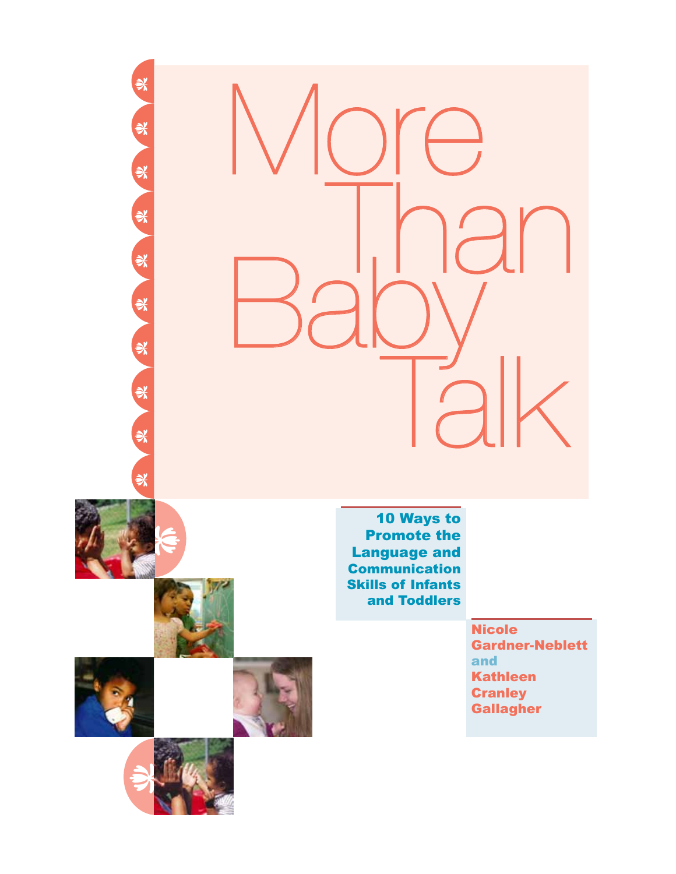Talk Baby, 10 Ways to Promote the

More

Language and **Communication** Skills of Infants and Toddlers

카

ie

⋠

⋠

⋠

⋠

⋠

⋠

⋠

⋠

 $\Rightarrow$ 

왌

Nicole Gardner-Neblett and Kathleen **Cranley Gallagher**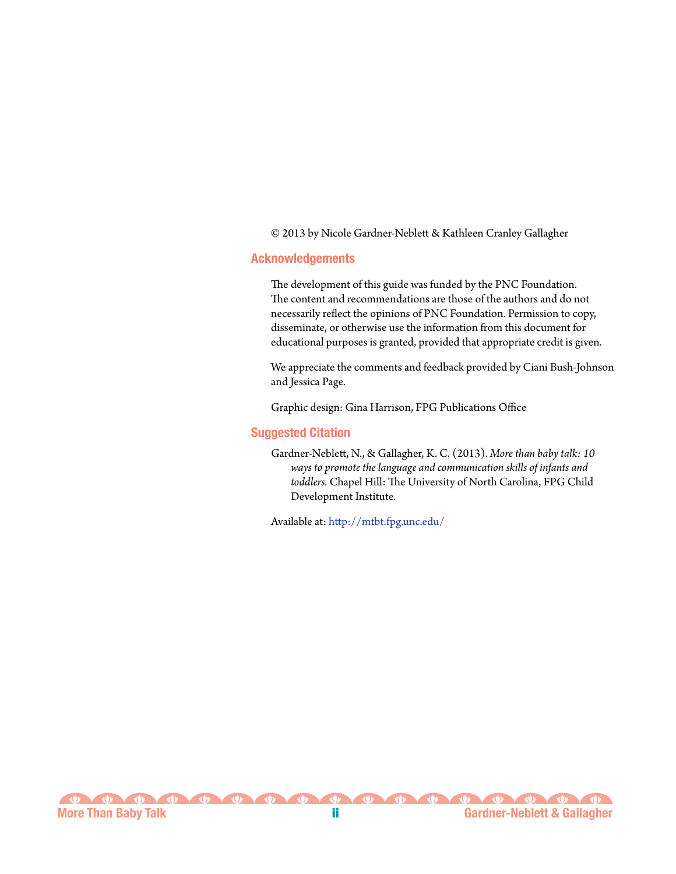© 2013 by Nicole Gardner-Neblett & Kathleen Cranley Gallagher

#### **Acknowledgements**

The development of this guide was funded by the PNC Foundation. The content and recommendations are those of the authors and do not necessarily reflect the opinions of PNC Foundation. Permission to copy, disseminate, or otherwise use the information from this document for educational purposes is granted, provided that appropriate credit is given.

We appreciate the comments and feedback provided by Ciani Bush-Johnson and Jessica Page.

Graphic design: Gina Harrison, FPG Publications Office

#### **Suggested Citation**

Gardner-Neblett, N., & Gallagher, K. C. (2013). *More than baby talk: 10 ways to promote the language and communication skills of infants and toddlers.* Chapel Hill: The University of North Carolina, FPG Child Development Institute.

Available at: <http://mtbt.fpg.unc.edu/>

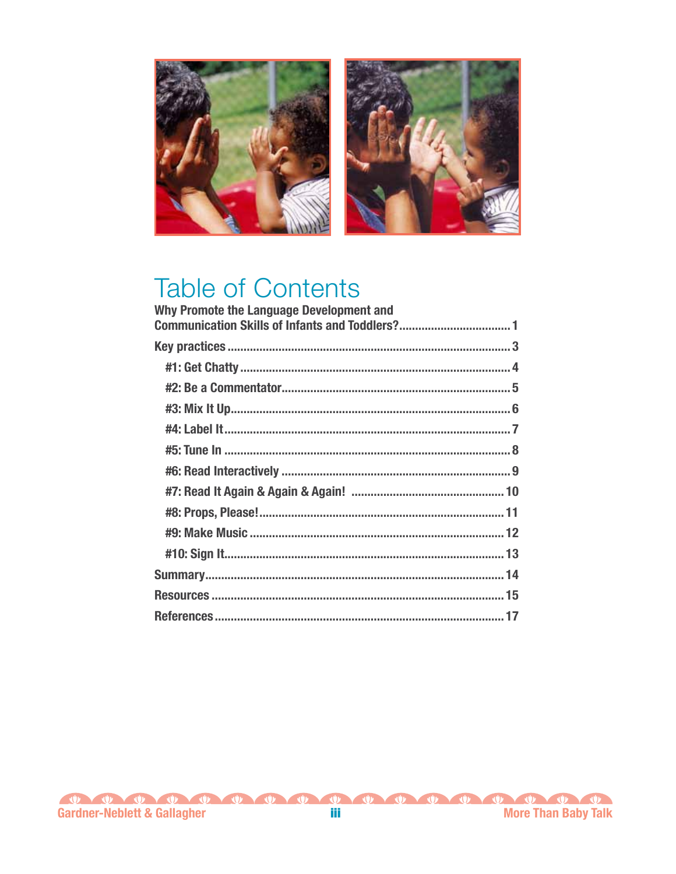

#### **Table of Contents**

| Why Promote the Language Development and |  |
|------------------------------------------|--|
|                                          |  |
|                                          |  |
|                                          |  |
|                                          |  |
|                                          |  |
|                                          |  |
|                                          |  |
|                                          |  |
|                                          |  |
|                                          |  |
|                                          |  |
|                                          |  |
|                                          |  |
|                                          |  |



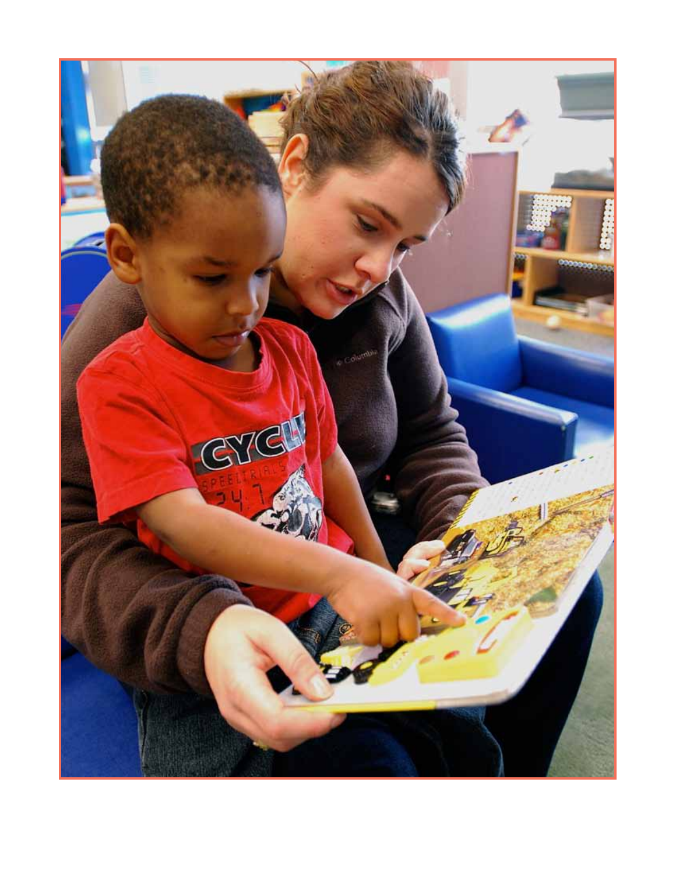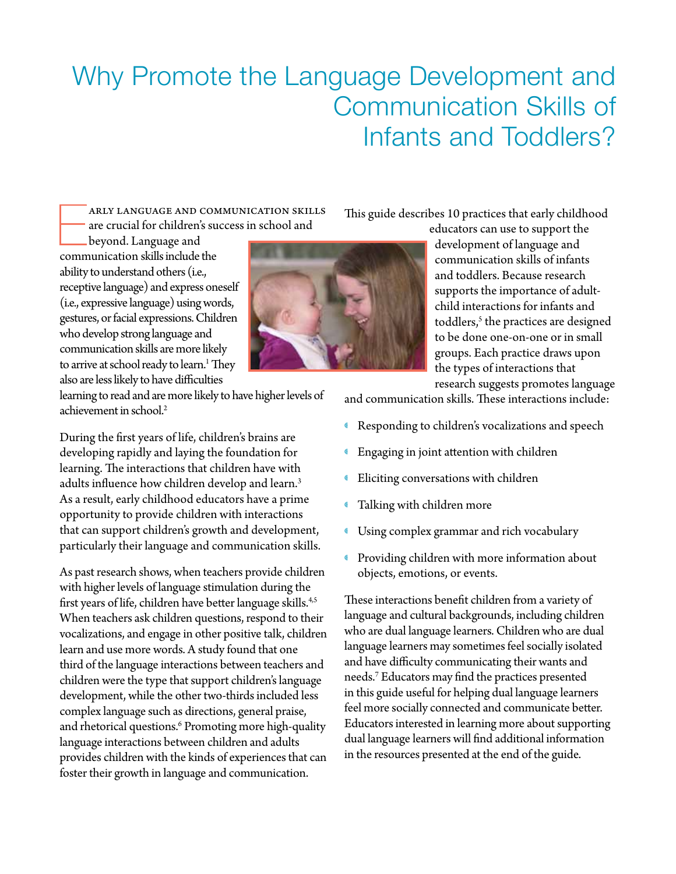#### Why Promote the Language Development and Communication Skills of Infants and Toddlers?

ARLY LANGUAGE AND COMMUNICATION SKILLS<br>are crucial for children's success in school and<br>beyond. Language and<br>communication skills include the are crucial for children's success in school and

beyond. Language and communication skills include the ability to understand others (i.e., receptive language) and express oneself (i.e., expressive language) using words, gestures, or facial expressions. Children who develop strong language and communication skills are more likely to arrive at school ready to learn.<sup>1</sup> They also are less likely to have difficulties



This guide describes 10 practices that early childhood

educators can use to support the development of language and communication skills of infants and toddlers. Because research supports the importance of adultchild interactions for infants and toddlers,<sup>5</sup> the practices are designed to be done one-on-one or in small groups. Each practice draws upon the types of interactions that research suggests promotes language

learning to read and are more likely to have higher levels of achievement in school.<sup>2</sup>

During the first years of life, children's brains are developing rapidly and laying the foundation for learning. The interactions that children have with adults influence how children develop and learn.<sup>3</sup> As a result, early childhood educators have a prime opportunity to provide children with interactions that can support children's growth and development, particularly their language and communication skills.

As past research shows, when teachers provide children with higher levels of language stimulation during the first years of life, children have better language skills.4,5 When teachers ask children questions, respond to their vocalizations, and engage in other positive talk, children learn and use more words. A study found that one third of the language interactions between teachers and children were the type that support children's language development, while the other two-thirds included less complex language such as directions, general praise, and rhetorical questions.<sup>6</sup> Promoting more high-quality language interactions between children and adults provides children with the kinds of experiences that can foster their growth in language and communication.

and communication skills. These interactions include:

- 9 Responding to children's vocalizations and speech
- 9 Engaging in joint attention with children
- 9 Eliciting conversations with children
- **Talking with children more**
- 9 Using complex grammar and rich vocabulary
- **Providing children with more information about** objects, emotions, or events.

These interactions benefit children from a variety of language and cultural backgrounds, including children who are dual language learners. Children who are dual language learners may sometimes feel socially isolated and have difficulty communicating their wants and needs.7 Educators may find the practices presented in this guide useful for helping dual language learners feel more socially connected and communicate better. Educators interested in learning more about supporting dual language learners will find additional information in the resources presented at the end of the guide.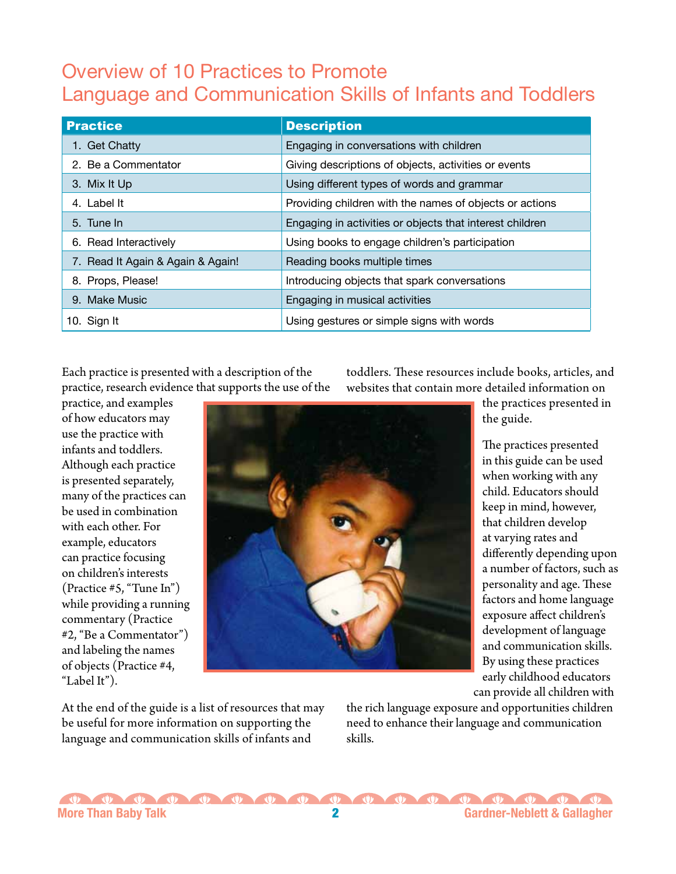#### Overview of 10 Practices to Promote Language and Communication Skills of Infants and Toddlers

| <b>Practice</b>                   | <b>Description</b>                                       |
|-----------------------------------|----------------------------------------------------------|
| 1. Get Chatty                     | Engaging in conversations with children                  |
| 2. Be a Commentator               | Giving descriptions of objects, activities or events     |
| 3. Mix It Up                      | Using different types of words and grammar               |
| 4. Label It                       | Providing children with the names of objects or actions  |
| 5. Tune In                        | Engaging in activities or objects that interest children |
| 6. Read Interactively             | Using books to engage children's participation           |
| 7. Read It Again & Again & Again! | Reading books multiple times                             |
| 8. Props, Please!                 | Introducing objects that spark conversations             |
| 9. Make Music                     | Engaging in musical activities                           |
| 10. Sign It                       | Using gestures or simple signs with words                |

Each practice is presented with a description of the practice, research evidence that supports the use of the toddlers. These resources include books, articles, and websites that contain more detailed information on

practice, and examples of how educators may use the practice with infants and toddlers. Although each practice is presented separately, many of the practices can be used in combination with each other. For example, educators can practice focusing on children's interests (Practice #5, "Tune In") while providing a running commentary (Practice #2, "Be a Commentator") and labeling the names of objects (Practice #4, "Label It").



the practices presented in the guide.

The practices presented in this guide can be used when working with any child. Educators should keep in mind, however, that children develop at varying rates and differently depending upon a number of factors, such as personality and age. These factors and home language exposure affect children's development of language and communication skills. By using these practices early childhood educators can provide all children with

At the end of the guide is a list of resources that may be useful for more information on supporting the language and communication skills of infants and

the rich language exposure and opportunities children need to enhance their language and communication skills.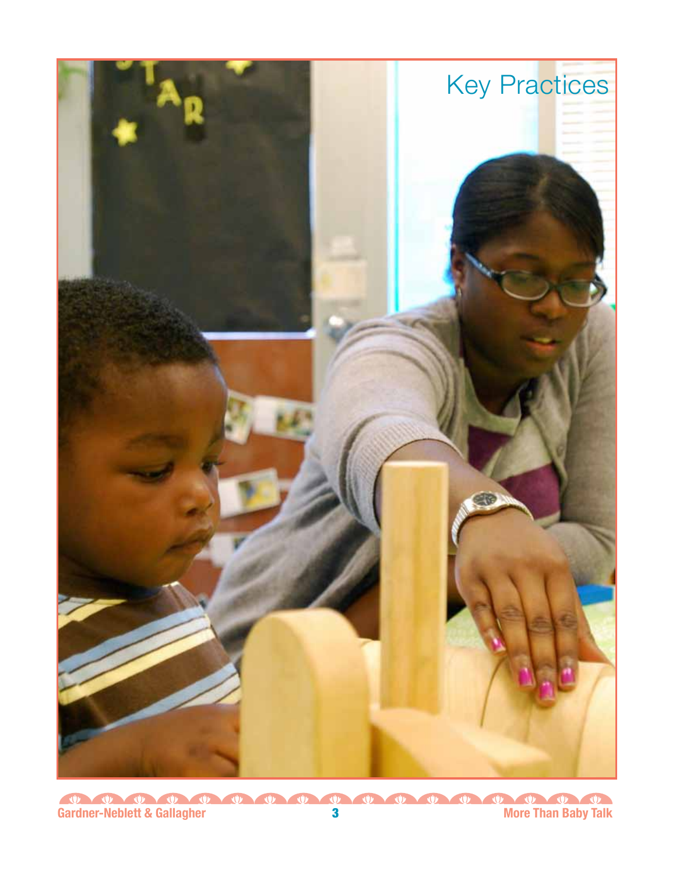

**Gardner-Neblett & Gallagher 3 More Than Baby Talk**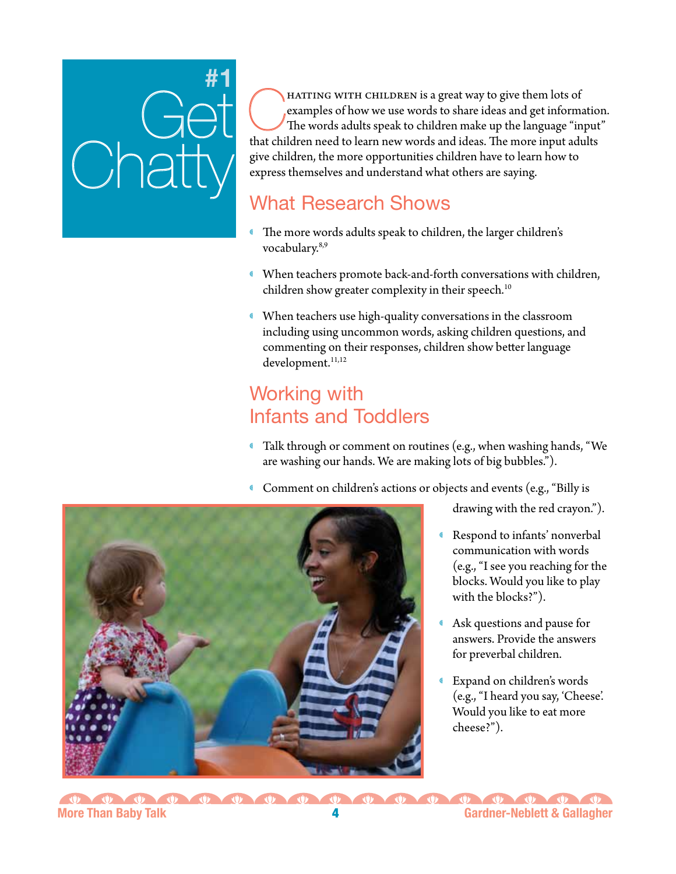### **#1** Get Chatty

HATTING WITH CHILDREN is a great way to give them lots of examples of how we use words to share ideas and get information.<br>The words adults speak to children make up the language "in that children need to learn new words a examples of how we use words to share ideas and get information. The words adults speak to children make up the language "input" that children need to learn new words and ideas. The more input adults give children, the more opportunities children have to learn how to express themselves and understand what others are saying.

#### What Research Shows

- 9 The more words adults speak to children, the larger children's vocabulary.8,9
- 9 When teachers promote back-and-forth conversations with children, children show greater complexity in their speech.<sup>10</sup>
- 9 When teachers use high-quality conversations in the classroom including using uncommon words, asking children questions, and commenting on their responses, children show better language development.<sup>11,12</sup>

#### Working with Infants and Toddlers

- 9 Talk through or comment on routines (e.g., when washing hands, "We are washing our hands. We are making lots of big bubbles.").
- **Comment on children's actions or objects and events (e.g., "Billy is**

drawing with the red crayon.").



- Respond to infants' nonverbal communication with words (e.g., "I see you reaching for the blocks. Would you like to play with the blocks?").
- Ask questions and pause for answers. Provide the answers for preverbal children.
- 9 Expand on children's words (e.g., "I heard you say, 'Cheese'. Would you like to eat more cheese?").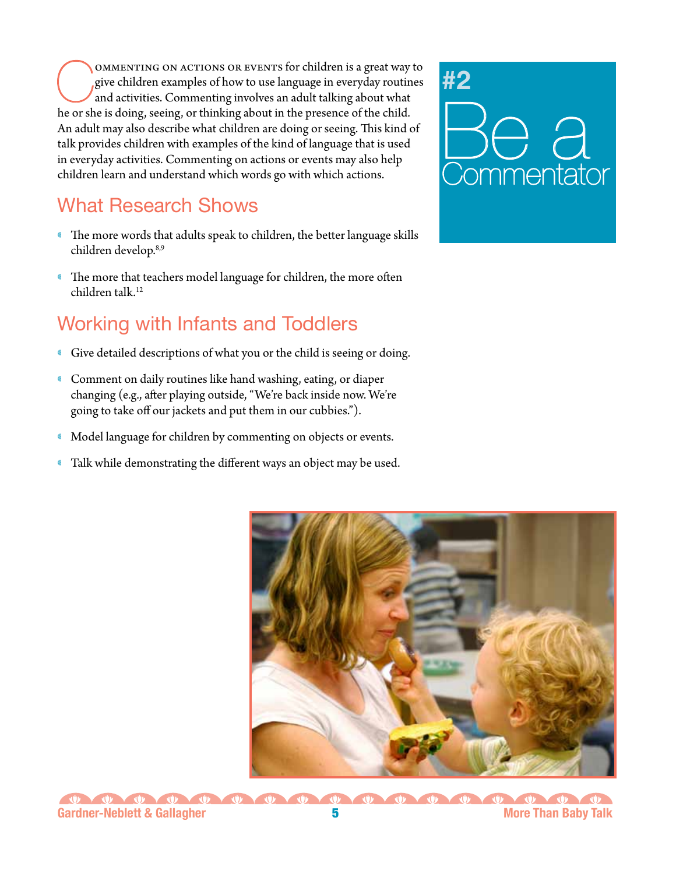OMMENTING ON ACTIONS OR EVENTS for children is a great way to give children examples of how to use language in everyday routines and activities. Commenting involves an adult talking about what he or she is doing seeing or give children examples of how to use language in everyday routines and activities. Commenting involves an adult talking about what he or she is doing, seeing, or thinking about in the presence of the child. An adult may also describe what children are doing or seeing. This kind of talk provides children with examples of the kind of language that is used in everyday activities. Commenting on actions or events may also help children learn and understand which words go with which actions.

#### What Research Shows

- <sup>4</sup> The more words that adults speak to children, the better language skills children develop.8,9
- The more that teachers model language for children, the more often children talk.<sup>12</sup>

#### Working with Infants and Toddlers

- Give detailed descriptions of what you or the child is seeing or doing.
- 9 Comment on daily routines like hand washing, eating, or diaper changing (e.g., after playing outside, "We're back inside now. We're going to take off our jackets and put them in our cubbies.").
- 9 Model language for children by commenting on objects or events.
- Talk while demonstrating the different ways an object may be used.





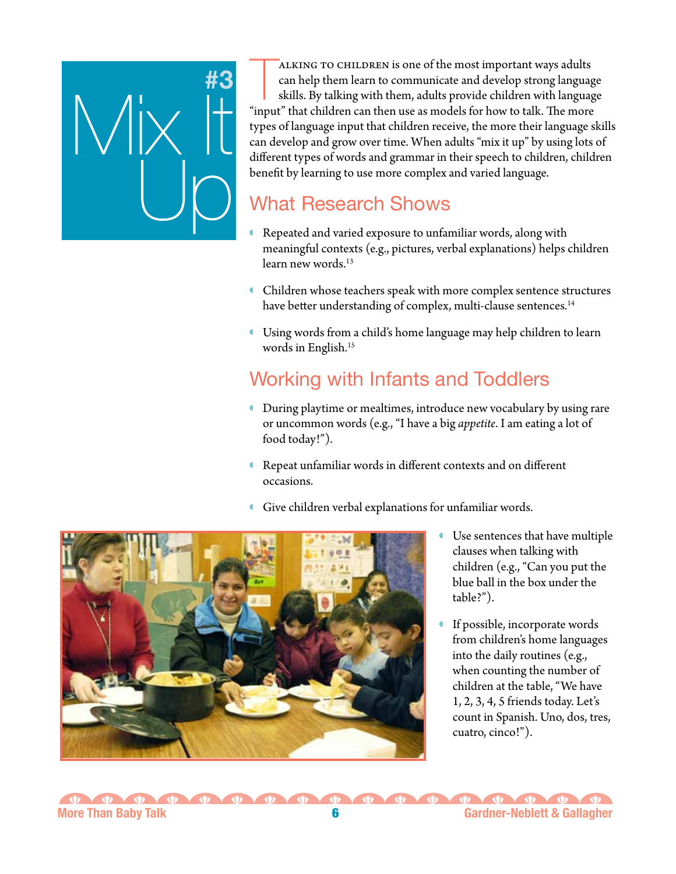# **#3**  $\sum$ Up

ALKING TO CHILDREN is one of the most important ways adults<br>can help them learn to communicate and develop strong languag<br>skills. By talking with them, adults provide children with languag<br>"input" that children can then us alking to children is one of the most important ways adults can help them learn to communicate and develop strong language skills. By talking with them, adults provide children with language types of language input that children receive, the more their language skills can develop and grow over time. When adults "mix it up" by using lots of different types of words and grammar in their speech to children, children benefit by learning to use more complex and varied language.

#### What Research Shows

- Repeated and varied exposure to unfamiliar words, along with meaningful contexts (e.g., pictures, verbal explanations) helps children learn new words.<sup>13</sup>
- 9 Children whose teachers speak with more complex sentence structures have better understanding of complex, multi-clause sentences.<sup>14</sup>
- 9 Using words from a child's home language may help children to learn words in English.15

#### Working with Infants and Toddlers

- 9 During playtime or mealtimes, introduce new vocabulary by using rare or uncommon words (e.g., "I have a big *appetite*. I am eating a lot of food today!").
- 9 Repeat unfamiliar words in different contexts and on different occasions.
- Give children verbal explanations for unfamiliar words.



- Use sentences that have multiple clauses when talking with children (e.g., "Can you put the blue ball in the box under the table?").
- If possible, incorporate words from children's home languages into the daily routines (e.g., when counting the number of children at the table, "We have 1, 2, 3, 4, 5 friends today. Let's count in Spanish. Uno, dos, tres, cuatro, cinco!").

d d d d d d d d d d d d d d d d d **Moreover Except 6 Gardner-Neblett & Gallagher**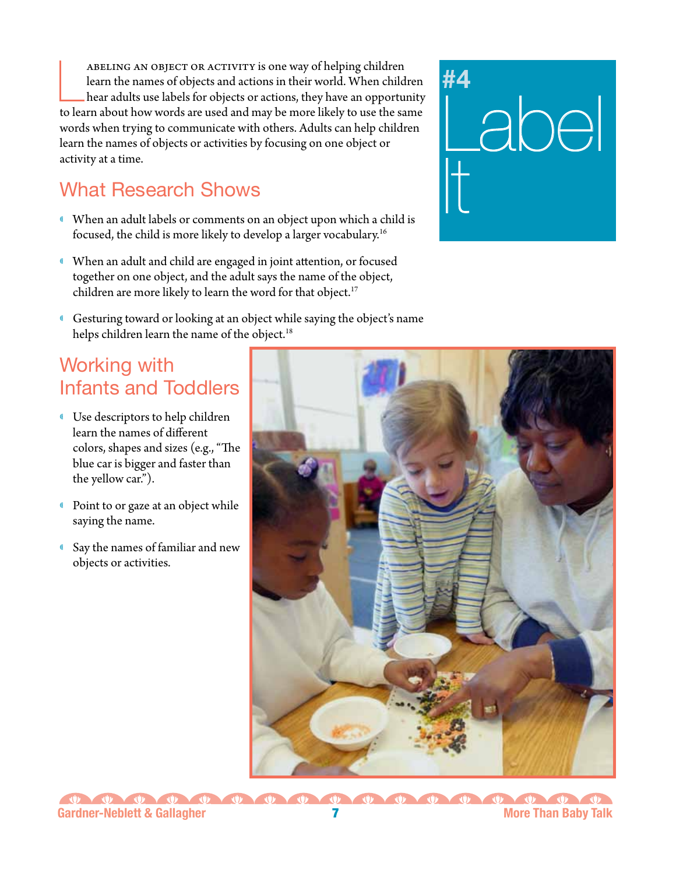ABELING AN OBJECT OR ACTIVITY is one way of helping children learn the names of objects and actions in their world. When children hear adults use labels for objects or actions, they have an opportunity to learn about how w abeling an object or activity is one way of helping children learn the names of objects and actions in their world. When children hear adults use labels for objects or actions, they have an opportunity words when trying to communicate with others. Adults can help children learn the names of objects or activities by focusing on one object or activity at a time.

#### What Research Shows

- 9 When an adult labels or comments on an object upon which a child is focused, the child is more likely to develop a larger vocabulary.16
- 9 When an adult and child are engaged in joint attention, or focused together on one object, and the adult says the name of the object, children are more likely to learn the word for that object.<sup>17</sup>
- 9 Gesturing toward or looking at an object while saying the object's name helps children learn the name of the object.<sup>18</sup>

#### Working with Infants and Toddlers

- <sup>4</sup> Use descriptors to help children learn the names of different colors, shapes and sizes (e.g., "The blue car is bigger and faster than the yellow car.").
- <sup>4</sup> Point to or gaze at an object while saying the name.
- 9 Say the names of familiar and new objects or activities.





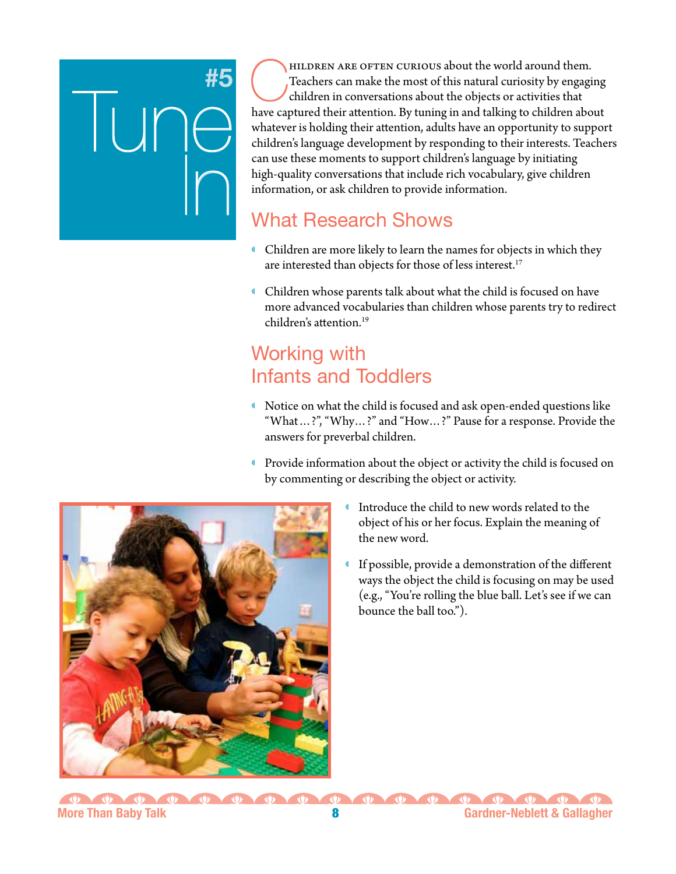## **#5** Tune  $\overline{\mathsf{I}}$

FILDREN ARE OFTEN CURIOUS about the world around them.<br>Teachers can make the most of this natural curiosity by engagicalidation in conversations about the objects or activities that<br>have cantured their attention. By tuning Teachers can make the most of this natural curiosity by engaging children in conversations about the objects or activities that have captured their attention. By tuning in and talking to children about whatever is holding their attention, adults have an opportunity to support children's language development by responding to their interests. Teachers can use these moments to support children's language by initiating high-quality conversations that include rich vocabulary, give children information, or ask children to provide information.

#### What Research Shows

- In the Children are more likely to learn the names for objects in which they are interested than objects for those of less interest.<sup>17</sup>
- 9 Children whose parents talk about what the child is focused on have more advanced vocabularies than children whose parents try to redirect children's attention.19

#### Working with Infants and Toddlers

- **9** Notice on what the child is focused and ask open-ended questions like "What…?", "Why…?" and "How…?" Pause for a response. Provide the answers for preverbal children.
- **Provide information about the object or activity the child is focused on** by commenting or describing the object or activity.



- **Introduce the child to new words related to the** object of his or her focus. Explain the meaning of the new word.
- 9 If possible, provide a demonstration of the different ways the object the child is focusing on may be used (e.g., "You're rolling the blue ball. Let's see if we can bounce the ball too.").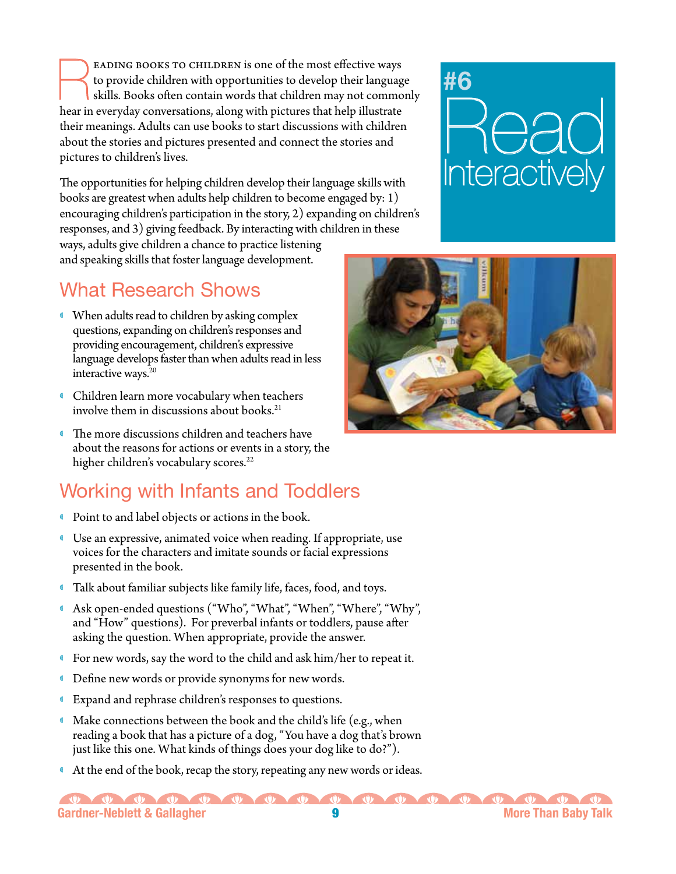EADING BOOKS TO CHILDREN is one of the most effective ways<br>to provide children with opportunities to develop their languag<br>skills. Books often contain words that children may not commo<br>hear in everyday conversations, along to provide children with opportunities to develop their language skills. Books often contain words that children may not commonly hear in everyday conversations, along with pictures that help illustrate their meanings. Adults can use books to start discussions with children about the stories and pictures presented and connect the stories and pictures to children's lives.

The opportunities for helping children develop their language skills with books are greatest when adults help children to become engaged by: 1) encouraging children's participation in the story, 2) expanding on children's responses, and 3) giving feedback. By interacting with children in these

ways, adults give children a chance to practice listening and speaking skills that foster language development.

#### What Research Shows

- 9 When adults read to children by asking complex questions, expanding on children's responses and providing encouragement, children's expressive language develops faster than when adults read in less interactive ways.<sup>20</sup>
- 9 Children learn more vocabulary when teachers involve them in discussions about books. $21$
- The more discussions children and teachers have about the reasons for actions or events in a story, the higher children's vocabulary scores.<sup>22</sup>

#### Working with Infants and Toddlers

- 9 Point to and label objects or actions in the book.
- 9 Use an expressive, animated voice when reading. If appropriate, use voices for the characters and imitate sounds or facial expressions presented in the book.
- 9 Talk about familiar subjects like family life, faces, food, and toys.
- 9 Ask open-ended questions ("Who", "What", "When", "Where", "Why", and "How" questions). For preverbal infants or toddlers, pause after asking the question. When appropriate, provide the answer.
- 9 For new words, say the word to the child and ask him/her to repeat it.
- Define new words or provide synonyms for new words.
- 9 Expand and rephrase children's responses to questions.
- <sup>4</sup> Make connections between the book and the child's life (e.g., when reading a book that has a picture of a dog, "You have a dog that's brown just like this one. What kinds of things does your dog like to do?").
- At the end of the book, recap the story, repeating any new words or ideas.

### **#6** Read Interactively

**Gardner-Neblett & Gallagher 9 9 More Than Baby Talk** d d d d d d d d d d d d d d d d

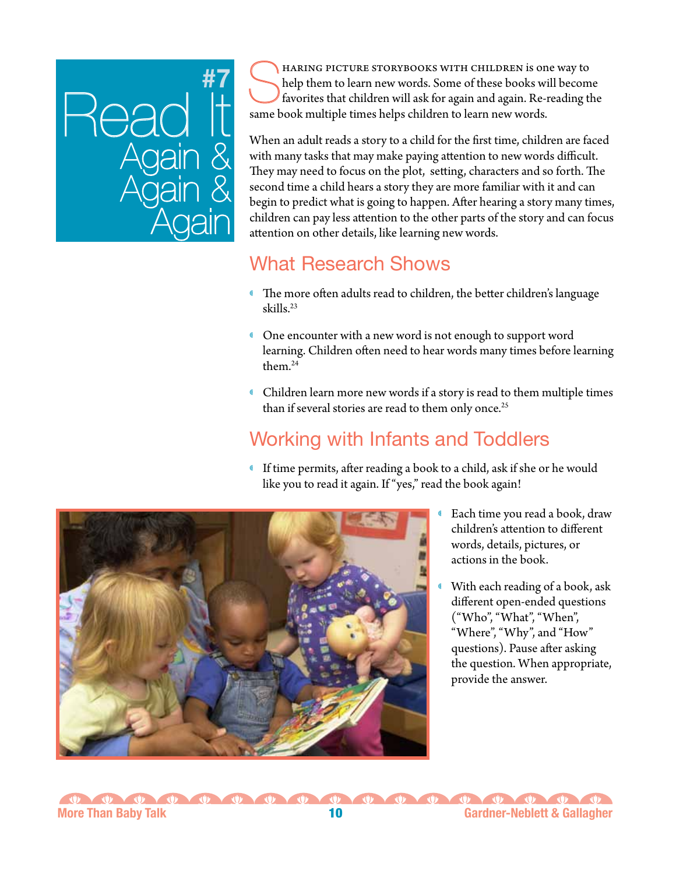

HARING PICTURE STORYBOOKS WITH CHILDREN is one way to<br>help them to learn new words. Some of these books will becom<br>favorites that children will ask for again and again. Re-reading the<br>same book multiple times belps childre help them to learn new words. Some of these books will become favorites that children will ask for again and again. Re-reading the same book multiple times helps children to learn new words.

When an adult reads a story to a child for the first time, children are faced with many tasks that may make paying attention to new words difficult. They may need to focus on the plot, setting, characters and so forth. The second time a child hears a story they are more familiar with it and can begin to predict what is going to happen. After hearing a story many times, children can pay less attention to the other parts of the story and can focus attention on other details, like learning new words.

#### What Research Shows

- 9 The more often adults read to children, the better children's language skills.23
- 9 One encounter with a new word is not enough to support word learning. Children often need to hear words many times before learning them.24
- 9 Children learn more new words if a story is read to them multiple times than if several stories are read to them only once.<sup>25</sup>

#### Working with Infants and Toddlers

9 If time permits, after reading a book to a child, ask if she or he would like you to read it again. If "yes," read the book again!



- Each time you read a book, draw children's attention to different words, details, pictures, or actions in the book.
- With each reading of a book, ask different open-ended questions ("Who", "What", "When", "Where", "Why", and "How" questions). Pause after asking the question. When appropriate, provide the answer.



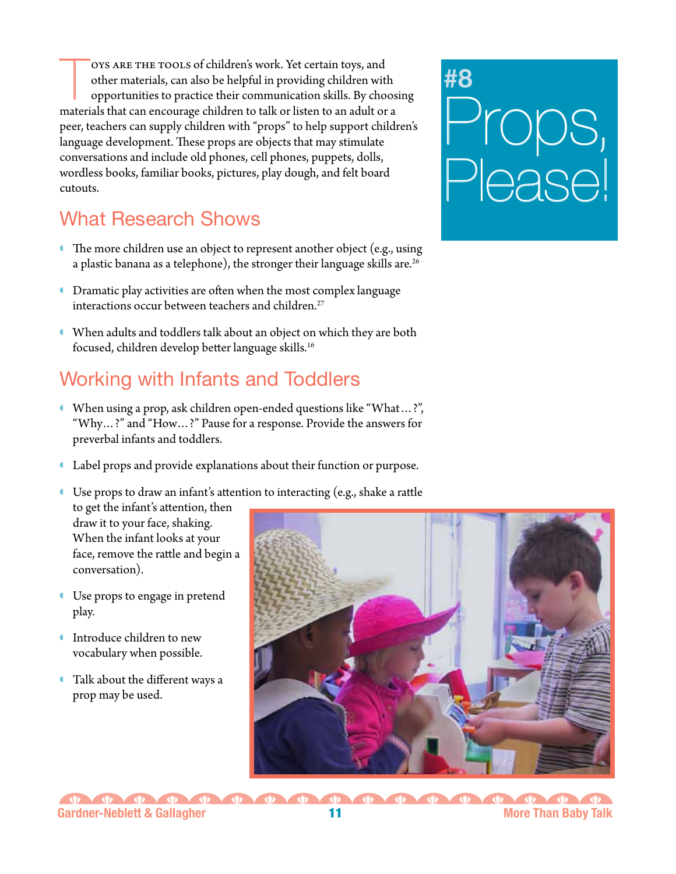OYS ARE THE TOOLS of children's work. Yet certain toys, and other materials, can also be helpful in providing children with opportunities to practice their communication skills. By choos materials that can encourage childr oys are the tools of children's work. Yet certain toys, and other materials, can also be helpful in providing children with opportunities to practice their communication skills. By choosing peer, teachers can supply children with "props" to help support children's language development. These props are objects that may stimulate conversations and include old phones, cell phones, puppets, dolls, wordless books, familiar books, pictures, play dough, and felt board cutouts.

#### What Research Shows

- The more children use an object to represent another object (e.g., using a plastic banana as a telephone), the stronger their language skills are.<sup>26</sup>
- **•** Dramatic play activities are often when the most complex language interactions occur between teachers and children.<sup>27</sup>
- 9 When adults and toddlers talk about an object on which they are both focused, children develop better language skills.16

#### Working with Infants and Toddlers

- 9 When using a prop, ask children open-ended questions like "What…?", "Why…?" and "How…?" Pause for a response. Provide the answers for preverbal infants and toddlers.
- 9 Label props and provide explanations about their function or purpose.
- 9 Use props to draw an infant's attention to interacting (e.g., shake a rattle
- to get the infant's attention, then draw it to your face, shaking. When the infant looks at your face, remove the rattle and begin a conversation).
- 9 Use props to engage in pretend play.
- **Introduce children to new** vocabulary when possible.
- <sup>4</sup> Talk about the different ways a prop may be used.







d d d d d d d d d d d d d d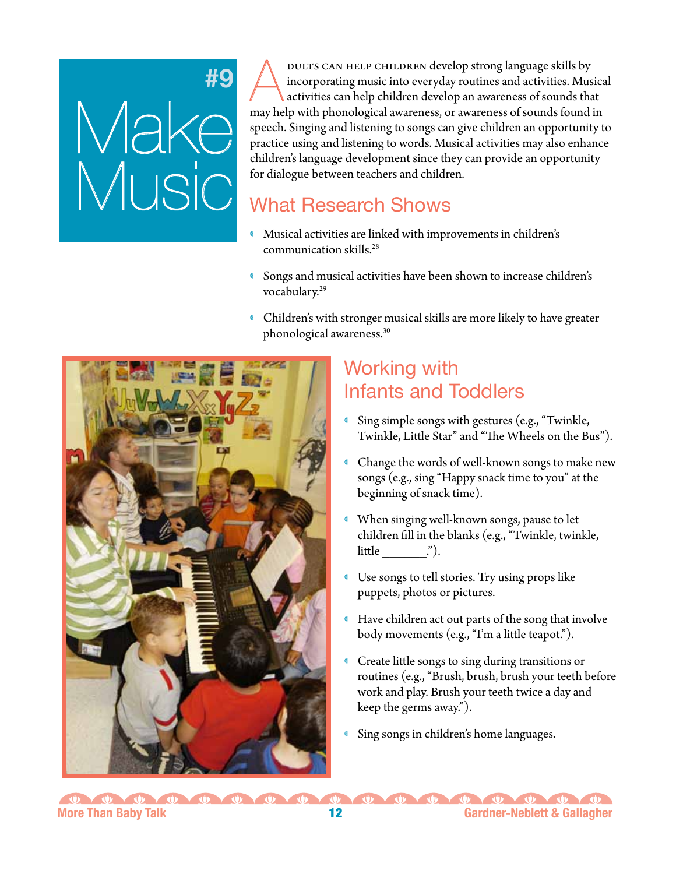### **#9** Make Music

DULTS CAN HELP CHILDREN develop strong language skills by<br>incorporating music into everyday routines and activities. Mus<br>activities can help children develop an awareness of sounds that<br>may beln with phonological awareness incorporating music into everyday routines and activities. Musical activities can help children develop an awareness of sounds that may help with phonological awareness, or awareness of sounds found in speech. Singing and listening to songs can give children an opportunity to practice using and listening to words. Musical activities may also enhance children's language development since they can provide an opportunity for dialogue between teachers and children.

#### What Research Shows

- 9 Musical activities are linked with improvements in children's communication skills.28
- Songs and musical activities have been shown to increase children's vocabulary.29
- 9 Children's with stronger musical skills are more likely to have greater phonological awareness.30



#### Working with Infants and Toddlers

- 9 Sing simple songs with gestures (e.g., "Twinkle, Twinkle, Little Star" and "The Wheels on the Bus").
- **Change the words of well-known songs to make new** songs (e.g., sing "Happy snack time to you" at the beginning of snack time).
- 9 When singing well-known songs, pause to let children fill in the blanks (e.g., "Twinkle, twinkle,  $\text{little}$   $\qquad$   $\qquad$   $\qquad$   $\qquad$   $\qquad$   $\qquad$   $\qquad$   $\qquad$   $\qquad$   $\qquad$   $\qquad$   $\qquad$   $\qquad$   $\qquad$   $\qquad$   $\qquad$   $\qquad$   $\qquad$   $\qquad$   $\qquad$   $\qquad$   $\qquad$   $\qquad$   $\qquad$   $\qquad$   $\qquad$   $\qquad$   $\qquad$   $\qquad$   $\qquad$   $\qquad$   $\qquad$   $\qquad$   $\qquad$   $\qquad$   $\q$
- Use songs to tell stories. Try using props like puppets, photos or pictures.
- 9 Have children act out parts of the song that involve body movements (e.g., "I'm a little teapot.").
- 9 Create little songs to sing during transitions or routines (e.g., "Brush, brush, brush your teeth before work and play. Brush your teeth twice a day and keep the germs away.").
- <sup>4</sup> Sing songs in children's home languages.

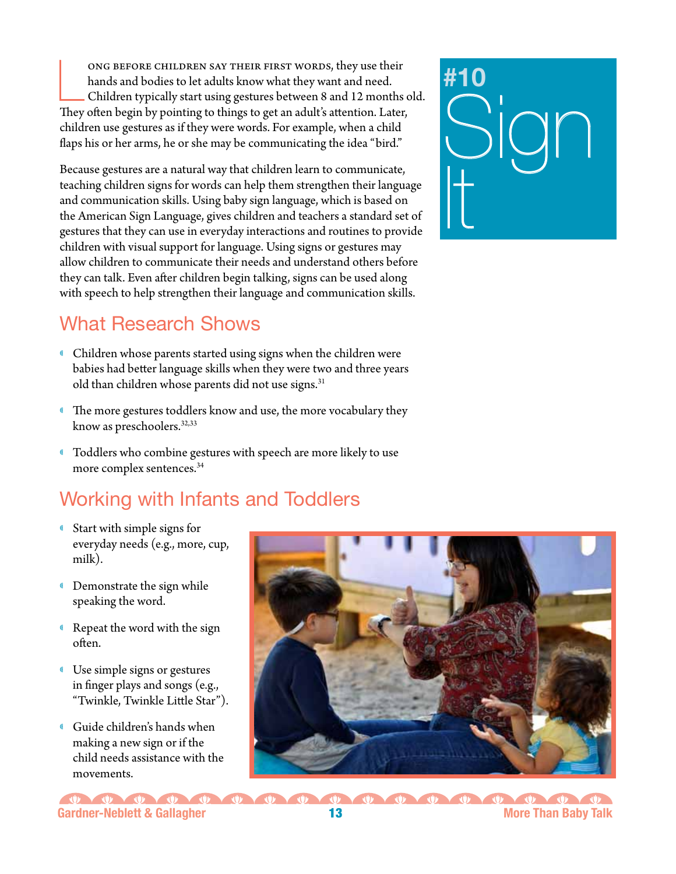ONG BEFORE CHILDREN SAY THEIR FIRST WORDS, they use their<br>hands and bodies to let adults know what they want and need.<br>Children typically start using gestures between 8 and 12 months<br>They often begin by pointing to things hands and bodies to let adults know what they want and need. Children typically start using gestures between 8 and 12 months old. They often begin by pointing to things to get an adult's attention. Later, children use gestures as if they were words. For example, when a child flaps his or her arms, he or she may be communicating the idea "bird."

Because gestures are a natural way that children learn to communicate, teaching children signs for words can help them strengthen their language and communication skills. Using baby sign language, which is based on the American Sign Language, gives children and teachers a standard set of gestures that they can use in everyday interactions and routines to provide children with visual support for language. Using signs or gestures may allow children to communicate their needs and understand others before they can talk. Even after children begin talking, signs can be used along with speech to help strengthen their language and communication skills.

# **#10** Sign It

#### What Research Shows

- 9 Children whose parents started using signs when the children were babies had better language skills when they were two and three years old than children whose parents did not use signs.<sup>31</sup>
- **IF The more gestures toddlers know and use, the more vocabulary they** know as preschoolers.32,33
- **Toddlers who combine gestures with speech are more likely to use** more complex sentences.34

#### Working with Infants and Toddlers

- 9 Start with simple signs for everyday needs (e.g., more, cup, milk).
- <sup>4</sup> Demonstrate the sign while speaking the word.
- **8** Repeat the word with the sign often.
- 9 Use simple signs or gestures in finger plays and songs (e.g., "Twinkle, Twinkle Little Star").
- 9 Guide children's hands when making a new sign or if the child needs assistance with the movements.



**Gardner-Neblett & Gallagher 13 More Than Baby Talk** d d d d d d d d d d d d d d d d d d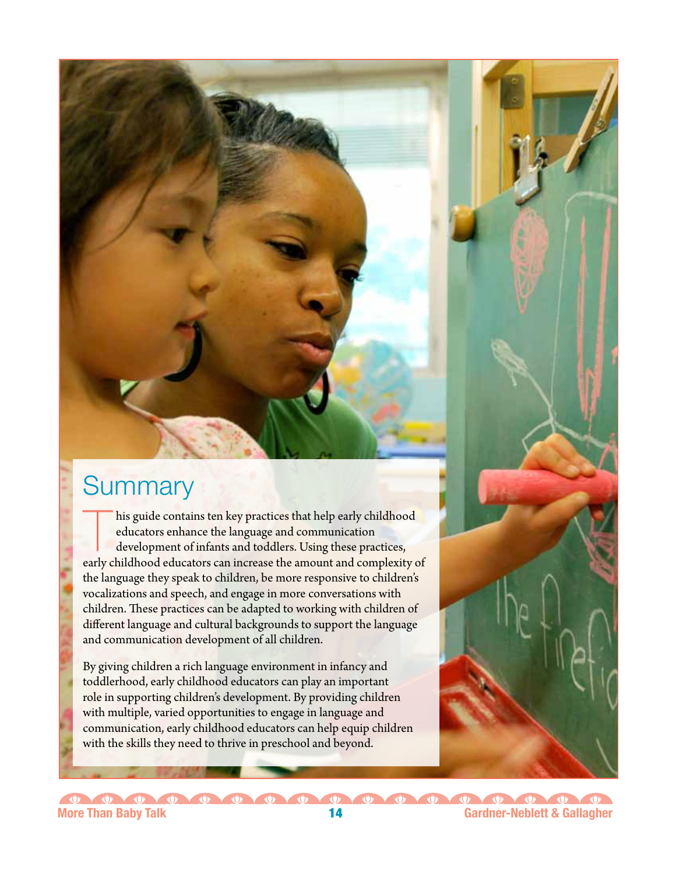#### **Summary**

his guide contains ten key practices that help early childhood<br>educators enhance the language and communication<br>development of infants and toddlers. Using these practices,<br>early childhood educators can increase the amount educators enhance the language and communication development of infants and toddlers. Using these practices, early childhood educators can increase the amount and complexity of the language they speak to children, be more responsive to children's vocalizations and speech, and engage in more conversations with children. These practices can be adapted to working with children of different language and cultural backgrounds to support the language and communication development of all children.

By giving children a rich language environment in infancy and toddlerhood, early childhood educators can play an important role in supporting children's development. By providing children with multiple, varied opportunities to engage in language and communication, early childhood educators can help equip children with the skills they need to thrive in preschool and beyond.

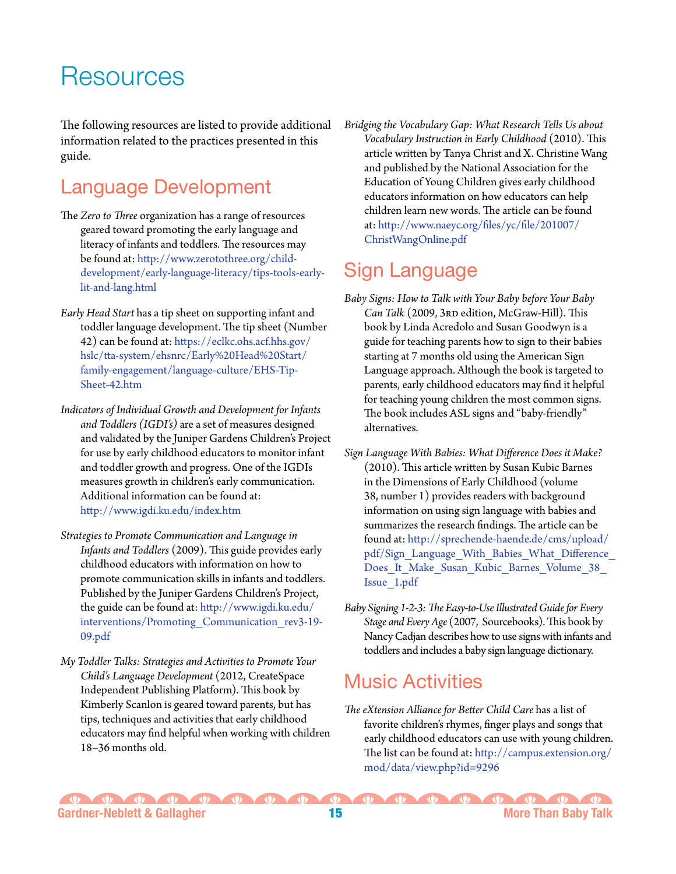#### **Resources**

The following resources are listed to provide additional information related to the practices presented in this guide.

#### Language Development

- The *Zero to Three* organization has a range of resources geared toward promoting the early language and literacy of infants and toddlers. The resources may be found at: [http://www.zerotothree.org/child](http://www.zerotothree.org/child-development/early-language-literacy/tips-tools-early-lit-and-lang.html)[development/early-language-literacy/tips-tools-early](http://www.zerotothree.org/child-development/early-language-literacy/tips-tools-early-lit-and-lang.html)[lit-and-lang.html](http://www.zerotothree.org/child-development/early-language-literacy/tips-tools-early-lit-and-lang.html)
- *Early Head Start* has a tip sheet on supporting infant and toddler language development. The tip sheet (Number 42) can be found at: [https://eclkc.ohs.acf.hhs.gov/](https://eclkc.ohs.acf.hhs.gov/hslc/tta-system/ehsnrc/Early%20Head%20Start/family-engagement/language-culture/EHS-Tip-Sheet-42.htm) [hslc/tta-system/ehsnrc/Early%20Head%20Start/](https://eclkc.ohs.acf.hhs.gov/hslc/tta-system/ehsnrc/Early%20Head%20Start/family-engagement/language-culture/EHS-Tip-Sheet-42.htm) [family-engagement/language-culture/EHS-Tip-](https://eclkc.ohs.acf.hhs.gov/hslc/tta-system/ehsnrc/Early%20Head%20Start/family-engagement/language-culture/EHS-Tip-Sheet-42.htm)[Sheet-42.htm](https://eclkc.ohs.acf.hhs.gov/hslc/tta-system/ehsnrc/Early%20Head%20Start/family-engagement/language-culture/EHS-Tip-Sheet-42.htm)
- *Indicators of Individual Growth and Development for Infants and Toddlers (IGDI's)* are a set of measures designed and validated by the Juniper Gardens Children's Project for use by early childhood educators to monitor infant and toddler growth and progress. One of the IGDIs measures growth in children's early communication. Additional information can be found at: <http://www.igdi.ku.edu/index.htm>
- *Strategies to Promote Communication and Language in Infants and Toddlers* (2009). This guide provides early childhood educators with information on how to promote communication skills in infants and toddlers. Published by the Juniper Gardens Children's Project, the guide can be found at: [http://www.igdi.ku.edu/](http://www.igdi.ku.edu/interventions/Promoting_Communication_rev3-19-09.pdf) [interventions/Promoting\\_Communication\\_rev3-19-](http://www.igdi.ku.edu/interventions/Promoting_Communication_rev3-19-09.pdf) [09.pdf](http://www.igdi.ku.edu/interventions/Promoting_Communication_rev3-19-09.pdf)
- *My Toddler Talks: Strategies and Activities to Promote Your Child's Language Development* (2012, CreateSpace Independent Publishing Platform). This book by Kimberly Scanlon is geared toward parents, but has tips, techniques and activities that early childhood educators may find helpful when working with children 18–36 months old.

*Bridging the Vocabulary Gap: What Research Tells Us about Vocabulary Instruction in Early Childhood* (2010). This article written by Tanya Christ and X. Christine Wang and published by the National Association for the Education of Young Children gives early childhood educators information on how educators can help children learn new words. The article can be found at: [http://www.naeyc.org/files/yc/file/201007/](http://www.naeyc.org/files/yc/file/201007/ChristWangOnline.pdf) [ChristWangOnline.pdf](http://www.naeyc.org/files/yc/file/201007/ChristWangOnline.pdf)

#### Sign Language

- *Baby Signs: How to Talk with Your Baby before Your Baby*  Can Talk (2009, 3RD edition, McGraw-Hill). This book by Linda Acredolo and Susan Goodwyn is a guide for teaching parents how to sign to their babies starting at 7 months old using the American Sign Language approach. Although the book is targeted to parents, early childhood educators may find it helpful for teaching young children the most common signs. The book includes ASL signs and "baby-friendly" alternatives.
- *Sign Language With Babies: What Difference Does it Make?* (2010). This article written by Susan Kubic Barnes in the Dimensions of Early Childhood (volume 38, number 1) provides readers with background information on using sign language with babies and summarizes the research findings. The article can be found at: [http://sprechende-haende.de/cms/upload/](http://sprechende-haende.de/cms/upload/pdf/Sign_Language_With_Babies_What_Difference_Does_It_Make_Susan_Kubic_Barnes_Volume_38_Issue_1.pdf) [pdf/Sign\\_Language\\_With\\_Babies\\_What\\_Difference\\_](http://sprechende-haende.de/cms/upload/pdf/Sign_Language_With_Babies_What_Difference_Does_It_Make_Susan_Kubic_Barnes_Volume_38_Issue_1.pdf) Does It Make Susan Kubic Barnes Volume 38 [Issue\\_1.pdf](http://sprechende-haende.de/cms/upload/pdf/Sign_Language_With_Babies_What_Difference_Does_It_Make_Susan_Kubic_Barnes_Volume_38_Issue_1.pdf)
- *Baby Signing 1-2-3: The Easy-to-Use Illustrated Guide for Every Stage and Every Age* (2007, Sourcebooks). This book by Nancy Cadjan describes how to use signs with infants and toddlers and includes a baby sign language dictionary.

#### Music Activities

*The eXtension Alliance for Better Child Care* has a list of favorite children's rhymes, finger plays and songs that early childhood educators can use with young children. The list can be found at: [http://campus.extension.org/](http://campus.extension.org/mod/data/view.php?id=9296) [mod/data/view.php?id=9296](http://campus.extension.org/mod/data/view.php?id=9296)

**Gardner-Neblett & Gallagher 15 More Than Baby Talk** d d d d d d d d d d d d d d d d d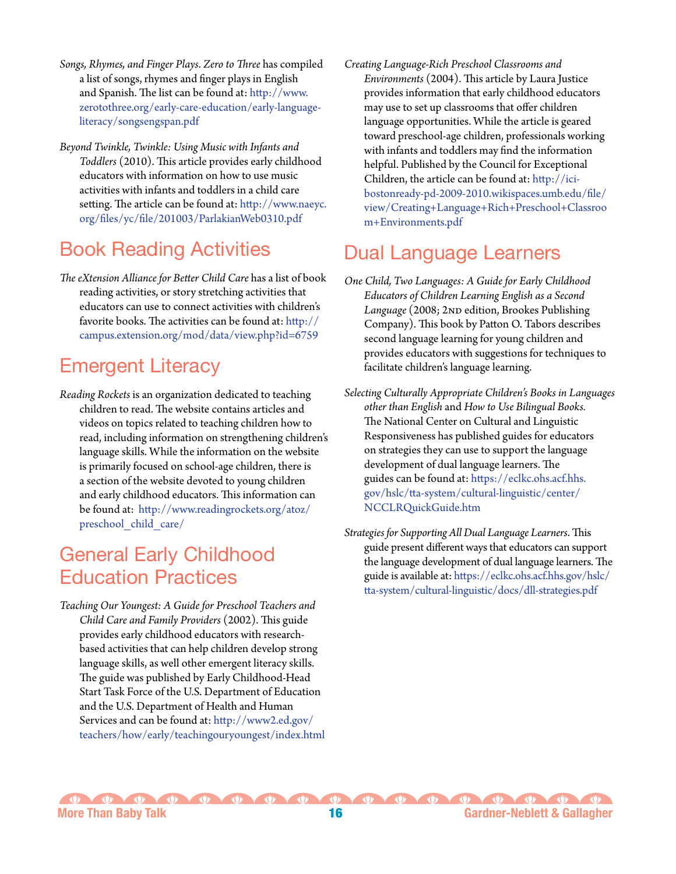- *Songs, Rhymes, and Finger Plays*. *Zero to Three* has compiled a list of songs, rhymes and finger plays in English and Spanish. The list can be found at: [http://www.](http://www.zerotothree.org/early-care-education/early-language-literacy/songsengspan.pdf) [zerotothree.org/early-care-education/early-language](http://www.zerotothree.org/early-care-education/early-language-literacy/songsengspan.pdf)[literacy/songsengspan.pdf](http://www.zerotothree.org/early-care-education/early-language-literacy/songsengspan.pdf)
- *Beyond Twinkle, Twinkle: Using Music with Infants and Toddlers* (2010). This article provides early childhood educators with information on how to use music activities with infants and toddlers in a child care setting. The article can be found at: [http://www.naeyc.](http://www.naeyc.org/files/yc/file/201003/ParlakianWeb0310.pdf) [org/files/yc/file/201003/ParlakianWeb0310.pdf](http://www.naeyc.org/files/yc/file/201003/ParlakianWeb0310.pdf)

#### Book Reading Activities

*The eXtension Alliance for Better Child Care* has a list of book reading activities, or story stretching activities that educators can use to connect activities with children's favorite books. The activities can be found at: [http://](http://campus.extension.org/mod/data/view.php?id=6759) [campus.extension.org/mod/data/view.php?id=6759](http://campus.extension.org/mod/data/view.php?id=6759)

#### Emergent Literacy

*Reading Rockets* is an organization dedicated to teaching children to read. The website contains articles and videos on topics related to teaching children how to read, including information on strengthening children's language skills. While the information on the website is primarily focused on school-age children, there is a section of the website devoted to young children and early childhood educators. This information can be found at: [http://www.readingrockets.org/atoz/](http://www.readingrockets.org/atoz/preschool_child_care/) [preschool\\_child\\_care/](http://www.readingrockets.org/atoz/preschool_child_care/)

#### General Early Childhood Education Practices

*Teaching Our Youngest: A Guide for Preschool Teachers and Child Care and Family Providers* (2002). This guide provides early childhood educators with researchbased activities that can help children develop strong language skills, as well other emergent literacy skills. The guide was published by Early Childhood-Head Start Task Force of the U.S. Department of Education and the U.S. Department of Health and Human Services and can be found at: [http://www2.ed.gov/](http://www2.ed.gov/teachers/how/early/teachingouryoungest/index.html) [teachers/how/early/teachingouryoungest/index.html](http://www2.ed.gov/teachers/how/early/teachingouryoungest/index.html) *Creating Language-Rich Preschool Classrooms and Environments* (2004). This article by Laura Justice provides information that early childhood educators may use to set up classrooms that offer children language opportunities. While the article is geared toward preschool-age children, professionals working with infants and toddlers may find the information helpful. Published by the Council for Exceptional Children, the article can be found at: [http://ici](http://ici-bostonready-pd-2009-2010.wikispaces.umb.edu/file/view/Creating+Language+Rich+Preschool+Classroom+Environments.pdf)[bostonready-pd-2009-2010.wikispaces.umb.edu/file/](http://ici-bostonready-pd-2009-2010.wikispaces.umb.edu/file/view/Creating+Language+Rich+Preschool+Classroom+Environments.pdf) [view/Creating+Language+Rich+Preschool+Classroo](http://ici-bostonready-pd-2009-2010.wikispaces.umb.edu/file/view/Creating+Language+Rich+Preschool+Classroom+Environments.pdf) [m+Environments.pdf](http://ici-bostonready-pd-2009-2010.wikispaces.umb.edu/file/view/Creating+Language+Rich+Preschool+Classroom+Environments.pdf)

#### Dual Language Learners

- *One Child, Two Languages: A Guide for Early Childhood Educators of Children Learning English as a Second*  Language (2008; 2ND edition, Brookes Publishing Company). This book by Patton O. Tabors describes second language learning for young children and provides educators with suggestions for techniques to facilitate children's language learning.
- *Selecting Culturally Appropriate Children's Books in Languages other than English* and *How to Use Bilingual Books.* The National Center on Cultural and Linguistic Responsiveness has published guides for educators on strategies they can use to support the language development of dual language learners. The guides can be found at: [https://eclkc.ohs.acf.hhs.](https://eclkc.ohs.acf.hhs.gov/hslc/tta-system/cultural-linguistic/center/NCCLRQuickGuide.htm) [gov/hslc/tta-system/cultural-linguistic/center/](https://eclkc.ohs.acf.hhs.gov/hslc/tta-system/cultural-linguistic/center/NCCLRQuickGuide.htm) [NCCLRQuickGuide.htm](https://eclkc.ohs.acf.hhs.gov/hslc/tta-system/cultural-linguistic/center/NCCLRQuickGuide.htm)
- *Strategies for Supporting All Dual Language Learners*. This guide present different ways that educators can support the language development of dual language learners. The guide is available at: [https://eclkc.ohs.acf.hhs.gov/hslc/](https://eclkc.ohs.acf.hhs.gov/hslc/tta-system/cultural-linguistic/docs/dll-strategies.pdf) [tta-system/cultural-linguistic/docs/dll-strategies.pdf](https://eclkc.ohs.acf.hhs.gov/hslc/tta-system/cultural-linguistic/docs/dll-strategies.pdf)



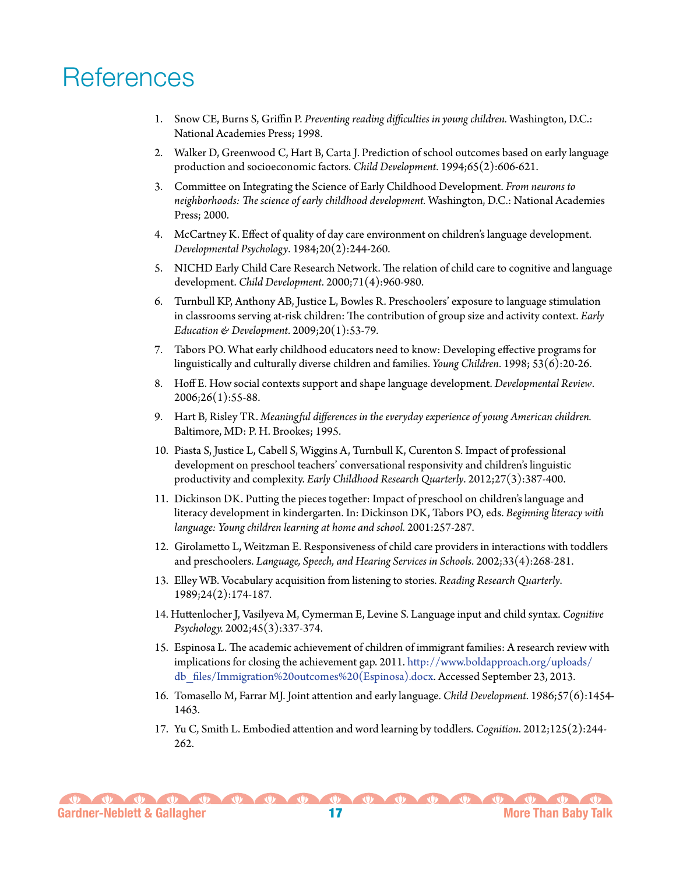#### **References**

- 1. Snow CE, Burns S, Griffin P. *Preventing reading difficulties in young children.* Washington, D.C.: National Academies Press; 1998.
- 2. Walker D, Greenwood C, Hart B, Carta J. Prediction of school outcomes based on early language production and socioeconomic factors. *Child Development*. 1994;65(2):606-621.
- 3. Committee on Integrating the Science of Early Childhood Development. *From neurons to neighborhoods: The science of early childhood development.* Washington, D.C.: National Academies Press; 2000.
- 4. McCartney K. Effect of quality of day care environment on children's language development. *Developmental Psychology*. 1984;20(2):244-260.
- 5. NICHD Early Child Care Research Network. The relation of child care to cognitive and language development. *Child Development*. 2000;71(4):960-980.
- 6. Turnbull KP, Anthony AB, Justice L, Bowles R. Preschoolers' exposure to language stimulation in classrooms serving at-risk children: The contribution of group size and activity context. *Early Education & Development*. 2009;20(1):53-79.
- 7. Tabors PO. What early childhood educators need to know: Developing effective programs for linguistically and culturally diverse children and families. *Young Children*. 1998; 53(6):20-26.
- 8. Hoff E. How social contexts support and shape language development. *Developmental Review*.  $2006;26(1):55-88.$
- 9. Hart B, Risley TR. *Meaningful differences in the everyday experience of young American children.*  Baltimore, MD: P. H. Brookes; 1995.
- 10. Piasta S, Justice L, Cabell S, Wiggins A, Turnbull K, Curenton S. Impact of professional development on preschool teachers' conversational responsivity and children's linguistic productivity and complexity. *Early Childhood Research Quarterly*. 2012;27(3):387-400.
- 11. Dickinson DK. Putting the pieces together: Impact of preschool on children's language and literacy development in kindergarten. In: Dickinson DK, Tabors PO, eds. *Beginning literacy with language: Young children learning at home and school.* 2001:257-287.
- 12. Girolametto L, Weitzman E. Responsiveness of child care providers in interactions with toddlers and preschoolers. *Language, Speech, and Hearing Services in Schools*. 2002;33(4):268-281.
- 13. Elley WB. Vocabulary acquisition from listening to stories. *Reading Research Quarterly*. 1989;24(2):174-187.
- 14. Huttenlocher J, Vasilyeva M, Cymerman E, Levine S. Language input and child syntax. *Cognitive Psychology.* 2002;45(3):337-374.
- 15. Espinosa L. The academic achievement of children of immigrant families: A research review with implications for closing the achievement gap. 2011. [http://www.boldapproach.org/uploads/](http://www.boldapproach.org/uploads/db_files/Immigration%20outcomes%20(Espinosa).docx) [db\\_files/Immigration%20outcomes%20\(Espinosa\).docx.](http://www.boldapproach.org/uploads/db_files/Immigration%20outcomes%20(Espinosa).docx) Accessed September 23, 2013.
- 16. Tomasello M, Farrar MJ. Joint attention and early language. *Child Development*. 1986;57(6):1454- 1463.
- 17. Yu C, Smith L. Embodied attention and word learning by toddlers. *Cognition*. 2012;125(2):244- 262.

d d d d d d d d d d d d d d d

**Gardner-Neblett & Gallagher** 17 **More Than Baby Talk**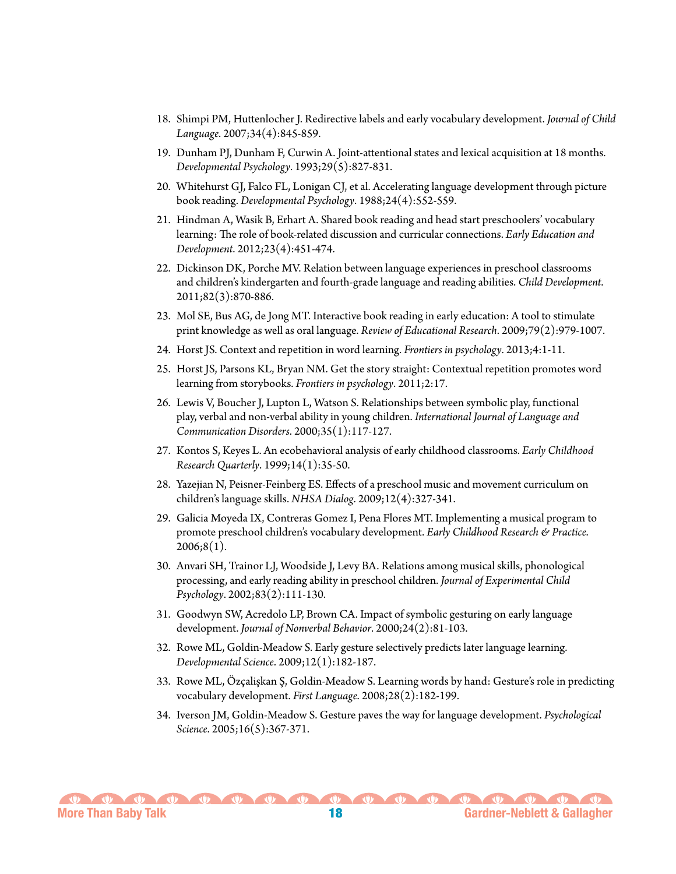- 18. Shimpi PM, Huttenlocher J. Redirective labels and early vocabulary development. *Journal of Child Language*. 2007;34(4):845-859.
- 19. Dunham PJ, Dunham F, Curwin A. Joint-attentional states and lexical acquisition at 18 months. *Developmental Psychology*. 1993;29(5):827-831.
- 20. Whitehurst GJ, Falco FL, Lonigan CJ, et al. Accelerating language development through picture book reading. *Developmental Psychology*. 1988;24(4):552-559.
- 21. Hindman A, Wasik B, Erhart A. Shared book reading and head start preschoolers' vocabulary learning: The role of book-related discussion and curricular connections. *Early Education and Development*. 2012;23(4):451-474.
- 22. Dickinson DK, Porche MV. Relation between language experiences in preschool classrooms and children's kindergarten and fourth-grade language and reading abilities. *Child Development*. 2011;82(3):870-886.
- 23. Mol SE, Bus AG, de Jong MT. Interactive book reading in early education: A tool to stimulate print knowledge as well as oral language. *Review of Educational Research*. 2009;79(2):979-1007.
- 24. Horst JS. Context and repetition in word learning. *Frontiers in psychology*. 2013;4:1-11.
- 25. Horst JS, Parsons KL, Bryan NM. Get the story straight: Contextual repetition promotes word learning from storybooks. *Frontiers in psychology*. 2011;2:17.
- 26. Lewis V, Boucher J, Lupton L, Watson S. Relationships between symbolic play, functional play, verbal and non-verbal ability in young children. *International Journal of Language and Communication Disorders*. 2000;35(1):117-127.
- 27. Kontos S, Keyes L. An ecobehavioral analysis of early childhood classrooms. *Early Childhood Research Quarterly*. 1999;14(1):35-50.
- 28. Yazejian N, Peisner-Feinberg ES. Effects of a preschool music and movement curriculum on children's language skills. *NHSA Dialog*. 2009;12(4):327-341.
- 29. Galicia Moyeda IX, Contreras Gomez I, Pena Flores MT. Implementing a musical program to promote preschool children's vocabulary development. *Early Childhood Research & Practice*.  $2006;8(1)$ .
- 30. Anvari SH, Trainor LJ, Woodside J, Levy BA. Relations among musical skills, phonological processing, and early reading ability in preschool children. *Journal of Experimental Child Psychology*. 2002;83(2):111-130.
- 31. Goodwyn SW, Acredolo LP, Brown CA. Impact of symbolic gesturing on early language development. *Journal of Nonverbal Behavior*. 2000;24(2):81-103.
- 32. Rowe ML, Goldin-Meadow S. Early gesture selectively predicts later language learning. *Developmental Science*. 2009;12(1):182-187.
- 33. Rowe ML, Özçalişkan Ş, Goldin-Meadow S. Learning words by hand: Gesture's role in predicting vocabulary development. *First Language*. 2008;28(2):182-199.
- 34. Iverson JM, Goldin-Meadow S. Gesture paves the way for language development. *Psychological Science*. 2005;16(5):367-371.